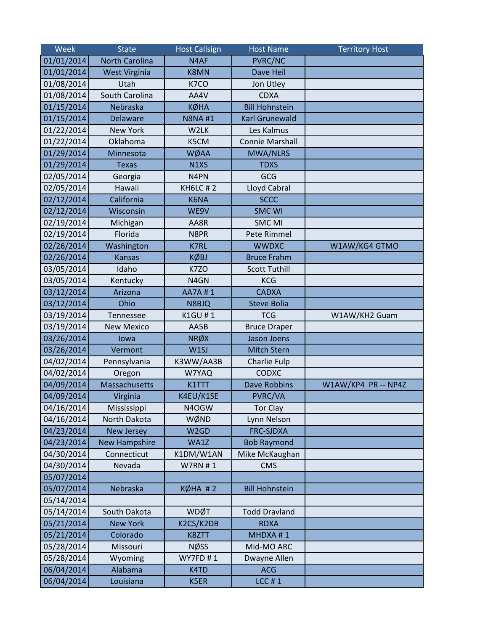| Week       | <b>State</b>          | <b>Host Callsign</b> | <b>Host Name</b>       | <b>Territory Host</b> |
|------------|-----------------------|----------------------|------------------------|-----------------------|
| 01/01/2014 | <b>North Carolina</b> | N4AF                 | <b>PVRC/NC</b>         |                       |
| 01/01/2014 | <b>West Virginia</b>  | <b>K8MN</b>          | Dave Heil              |                       |
| 01/08/2014 | Utah                  | K7CO                 | Jon Utley              |                       |
| 01/08/2014 | South Carolina        | AA4V                 | <b>CDXA</b>            |                       |
| 01/15/2014 | Nebraska              | <b>KØHA</b>          | <b>Bill Hohnstein</b>  |                       |
| 01/15/2014 | <b>Delaware</b>       | <b>N8NA#1</b>        | <b>Karl Grunewald</b>  |                       |
| 01/22/2014 | <b>New York</b>       | W2LK                 | Les Kalmus             |                       |
| 01/22/2014 | Oklahoma              | K5CM                 | <b>Connie Marshall</b> |                       |
| 01/29/2014 | Minnesota             | WØAA                 | <b>MWA/NLRS</b>        |                       |
| 01/29/2014 | <b>Texas</b>          | N1XS                 | <b>TDXS</b>            |                       |
| 02/05/2014 | Georgia               | N4PN                 | GCG                    |                       |
| 02/05/2014 | Hawaii                | <b>KH6LC#2</b>       | Lloyd Cabral           |                       |
| 02/12/2014 | California            | K6NA                 | <b>SCCC</b>            |                       |
| 02/12/2014 | Wisconsin             | WE9V                 | <b>SMC WI</b>          |                       |
| 02/19/2014 | Michigan              | AA8R                 | <b>SMC MI</b>          |                       |
| 02/19/2014 | Florida               | N8PR                 | Pete Rimmel            |                       |
| 02/26/2014 | Washington            | <b>K7RL</b>          | <b>WWDXC</b>           | W1AW/KG4 GTMO         |
| 02/26/2014 | <b>Kansas</b>         | <b>KØBJ</b>          | <b>Bruce Frahm</b>     |                       |
| 03/05/2014 | Idaho                 | K7ZO                 | <b>Scott Tuthill</b>   |                       |
| 03/05/2014 | Kentucky              | N4GN                 | <b>KCG</b>             |                       |
| 03/12/2014 | Arizona               | AA7A#1               | <b>CADXA</b>           |                       |
| 03/12/2014 | Ohio                  | N8BJQ                | <b>Steve Bolia</b>     |                       |
| 03/19/2014 | Tennessee             | K1GU #1              | <b>TCG</b>             | W1AW/KH2 Guam         |
| 03/19/2014 | <b>New Mexico</b>     | AA5B                 | <b>Bruce Draper</b>    |                       |
| 03/26/2014 | lowa                  | <b>NRØX</b>          | <b>Jason Joens</b>     |                       |
| 03/26/2014 | Vermont               | W1SJ                 | Mitch Stern            |                       |
| 04/02/2014 | Pennsylvania          | K3WW/AA3B            | Charlie Fulp           |                       |
| 04/02/2014 | Oregon                | W7YAQ                | <b>CODXC</b>           |                       |
| 04/09/2014 | Massachusetts         | K1TTT                | <b>Dave Robbins</b>    | W1AW/KP4 PR -- NP4Z   |
| 04/09/2014 | Virginia              | K4EU/K1SE            | PVRC/VA                |                       |
| 04/16/2014 | Mississippi           | N4OGW                | Tor Clay               |                       |
| 04/16/2014 | North Dakota          | WØND                 | Lynn Nelson            |                       |
| 04/23/2014 | <b>New Jersey</b>     | W <sub>2</sub> GD    | <b>FRC-SJDXA</b>       |                       |
| 04/23/2014 | <b>New Hampshire</b>  | WA1Z                 | <b>Bob Raymond</b>     |                       |
| 04/30/2014 | Connecticut           | K1DM/W1AN            | Mike McKaughan         |                       |
| 04/30/2014 | Nevada                | <b>W7RN#1</b>        | <b>CMS</b>             |                       |
| 05/07/2014 |                       |                      |                        |                       |
| 05/07/2014 | Nebraska              | $K\emptyset HA \# 2$ | <b>Bill Hohnstein</b>  |                       |
| 05/14/2014 |                       |                      |                        |                       |
| 05/14/2014 | South Dakota          | <b>WDØT</b>          | <b>Todd Dravland</b>   |                       |
| 05/21/2014 | <b>New York</b>       | K2CS/K2DB            | <b>RDXA</b>            |                       |
| 05/21/2014 | Colorado              | K8ZTT                | MHDXA #1               |                       |
| 05/28/2014 | Missouri              | <b>NØSS</b>          | Mid-MO ARC             |                       |
| 05/28/2014 | Wyoming               | <b>WY7FD#1</b>       | Dwayne Allen           |                       |
| 06/04/2014 | Alabama               | K4TD                 | <b>ACG</b>             |                       |
| 06/04/2014 | Louisiana             | K5ER                 | $LCC$ #1               |                       |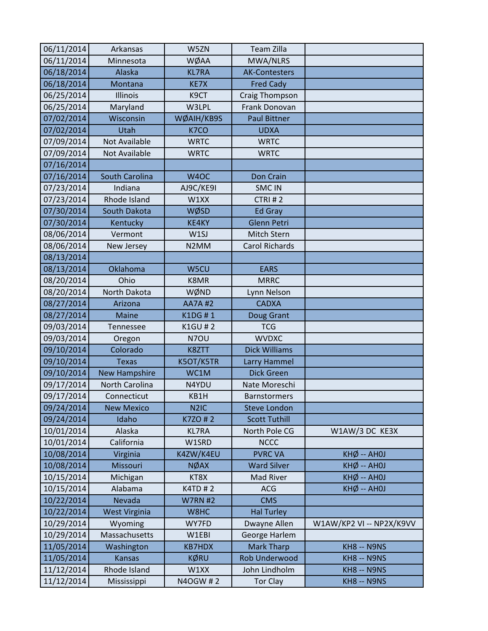| 06/11/2014 | Arkansas              | W5ZN              | <b>Team Zilla</b>     |                          |
|------------|-----------------------|-------------------|-----------------------|--------------------------|
| 06/11/2014 | Minnesota             | WØAA              | MWA/NLRS              |                          |
| 06/18/2014 | Alaska                | <b>KL7RA</b>      | <b>AK-Contesters</b>  |                          |
| 06/18/2014 | Montana               | KE7X              | <b>Fred Cady</b>      |                          |
| 06/25/2014 | Illinois              | K9CT              | Craig Thompson        |                          |
| 06/25/2014 | Maryland              | W3LPL             | Frank Donovan         |                          |
| 07/02/2014 | Wisconsin             | WØAIH/KB9S        | <b>Paul Bittner</b>   |                          |
| 07/02/2014 | Utah                  | K7CO              | <b>UDXA</b>           |                          |
| 07/09/2014 | Not Available         | <b>WRTC</b>       | <b>WRTC</b>           |                          |
| 07/09/2014 | <b>Not Available</b>  | <b>WRTC</b>       | <b>WRTC</b>           |                          |
| 07/16/2014 |                       |                   |                       |                          |
| 07/16/2014 | <b>South Carolina</b> | W <sub>4</sub> OC | Don Crain             |                          |
| 07/23/2014 | Indiana               | AJ9C/KE9I         | <b>SMC IN</b>         |                          |
| 07/23/2014 | Rhode Island          | W1XX              | CTRI#2                |                          |
| 07/30/2014 | South Dakota          | WØSD              | <b>Ed Gray</b>        |                          |
| 07/30/2014 | Kentucky              | KE4KY             | <b>Glenn Petri</b>    |                          |
| 08/06/2014 | Vermont               | W1SJ              | Mitch Stern           |                          |
| 08/06/2014 | New Jersey            | N <sub>2</sub> MM | <b>Carol Richards</b> |                          |
| 08/13/2014 |                       |                   |                       |                          |
| 08/13/2014 | Oklahoma              | W5CU              | <b>EARS</b>           |                          |
| 08/20/2014 | Ohio                  | K8MR              | <b>MRRC</b>           |                          |
| 08/20/2014 | North Dakota          | WØND              | Lynn Nelson           |                          |
| 08/27/2014 | Arizona               | <b>AA7A#2</b>     | <b>CADXA</b>          |                          |
| 08/27/2014 | <b>Maine</b>          | K1DG #1           | Doug Grant            |                          |
| 09/03/2014 | Tennessee             | <b>K1GU#2</b>     | <b>TCG</b>            |                          |
| 09/03/2014 | Oregon                | N7OU              | <b>WVDXC</b>          |                          |
| 09/10/2014 | Colorado              | K8ZTT             | <b>Dick Williams</b>  |                          |
| 09/10/2014 | <b>Texas</b>          | K5OT/K5TR         | Larry Hammel          |                          |
| 09/10/2014 | <b>New Hampshire</b>  | WC1M              | <b>Dick Green</b>     |                          |
| 09/17/2014 | North Carolina        | N4YDU             | Nate Moreschi         |                          |
| 09/17/2014 | Connecticut           | KB1H              | <b>Barnstormers</b>   |                          |
| 09/24/2014 | <b>New Mexico</b>     | N <sub>2</sub> IC | <b>Steve London</b>   |                          |
| 09/24/2014 | Idaho                 | K7ZO #2           | <b>Scott Tuthill</b>  |                          |
| 10/01/2014 | Alaska                | <b>KL7RA</b>      | North Pole CG         | W1AW/3 DC KE3X           |
| 10/01/2014 | California            | W1SRD             | <b>NCCC</b>           |                          |
| 10/08/2014 | Virginia              | K4ZW/K4EU         | <b>PVRC VA</b>        | $KHØ - AHOJ$             |
| 10/08/2014 | Missouri              | <b>NØAX</b>       | <b>Ward Silver</b>    | $KHØ - AHOJ$             |
| 10/15/2014 | Michigan              | KT8X              | Mad River             | $KHØ - AHOJ$             |
| 10/15/2014 | Alabama               | <b>K4TD#2</b>     | <b>ACG</b>            | $KH\phi - AHOJ$          |
| 10/22/2014 | Nevada                | <b>W7RN #2</b>    | <b>CMS</b>            |                          |
| 10/22/2014 | <b>West Virginia</b>  | W8HC              | <b>Hal Turley</b>     |                          |
| 10/29/2014 | Wyoming               | WY7FD             | Dwayne Allen          | W1AW/KP2 VI -- NP2X/K9VV |
| 10/29/2014 | Massachusetts         | W1EBI             | George Harlem         |                          |
| 11/05/2014 | Washington            | <b>KB7HDX</b>     | <b>Mark Tharp</b>     | KH8 -- N9NS              |
| 11/05/2014 | <b>Kansas</b>         | <b>KØRU</b>       | <b>Rob Underwood</b>  | KH8 -- N9NS              |
| 11/12/2014 | Rhode Island          | W1XX              | John Lindholm         | KH8 -- N9NS              |
| 11/12/2014 | Mississippi           | N4OGW #2          | <b>Tor Clay</b>       | KH8 -- N9NS              |